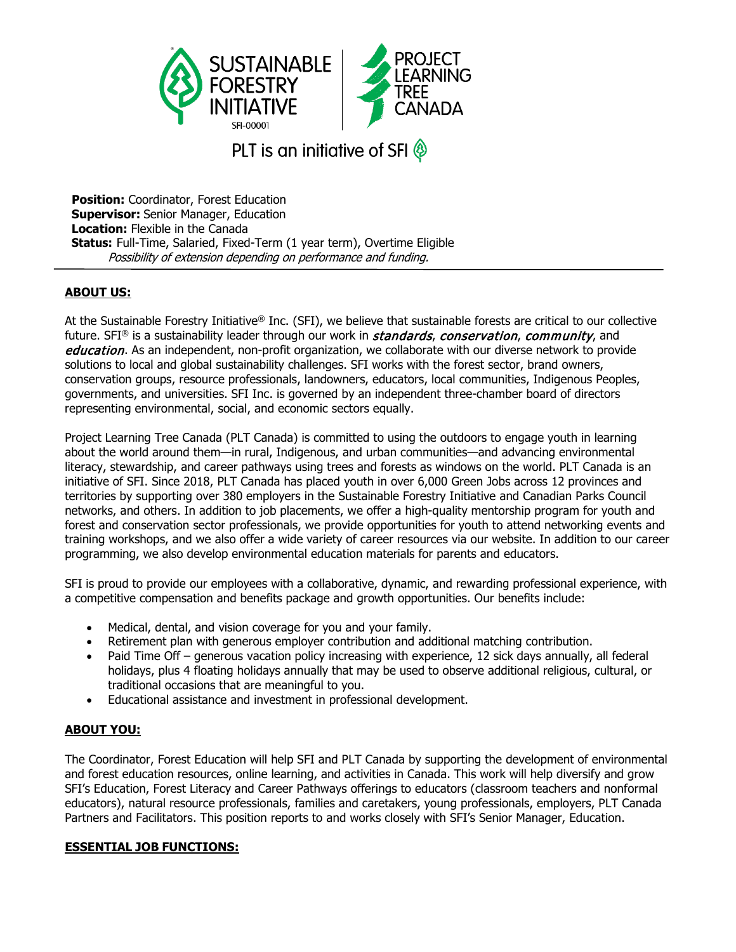

# PLT is an initiative of SFI  $\circledast$

**Position:** Coordinator, Forest Education **Supervisor:** Senior Manager, Education **Location:** Flexible in the Canada **Status:** Full-Time, Salaried, Fixed-Term (1 year term), Overtime Eligible Possibility of extension depending on performance and funding.

#### **ABOUT US:**

At the Sustainable Forestry Initiative® Inc. (SFI), we believe that sustainable forests are critical to our collective future. SFI<sup>®</sup> is a sustainability leader through our work in **standards, conservation, community,** and education. As an independent, non-profit organization, we collaborate with our diverse network to provide solutions to local and global sustainability challenges. SFI works with the forest sector, brand owners, conservation groups, resource professionals, landowners, educators, local communities, Indigenous Peoples, governments, and universities. SFI Inc. is governed by an independent three-chamber board of directors representing environmental, social, and economic sectors equally.

Project Learning Tree Canada (PLT Canada) is committed to using the outdoors to engage youth in learning about the world around them—in rural, Indigenous, and urban communities—and advancing environmental literacy, stewardship, and career pathways using trees and forests as windows on the world. PLT Canada is an initiative of SFI. Since 2018, PLT Canada has placed youth in over 6,000 Green Jobs across 12 provinces and territories by supporting over 380 employers in the Sustainable Forestry Initiative and Canadian Parks Council networks, and others. In addition to job placements, we offer a high-quality mentorship program for youth and forest and conservation sector professionals, we provide opportunities for youth to attend networking events and training workshops, and we also offer a wide variety of career resources via our website. In addition to our career programming, we also develop environmental education materials for parents and educators.

SFI is proud to provide our employees with a collaborative, dynamic, and rewarding professional experience, with a competitive compensation and benefits package and growth opportunities. Our benefits include:

- Medical, dental, and vision coverage for you and your family.
- Retirement plan with generous employer contribution and additional matching contribution.
- Paid Time Off generous vacation policy increasing with experience, 12 sick days annually, all federal holidays, plus 4 floating holidays annually that may be used to observe additional religious, cultural, or traditional occasions that are meaningful to you.
- Educational assistance and investment in professional development.

### **ABOUT YOU:**

The Coordinator, Forest Education will help SFI and PLT Canada by supporting the development of environmental and forest education resources, online learning, and activities in Canada. This work will help diversify and grow SFI's Education, Forest Literacy and Career Pathways offerings to educators (classroom teachers and nonformal educators), natural resource professionals, families and caretakers, young professionals, employers, PLT Canada Partners and Facilitators. This position reports to and works closely with SFI's Senior Manager, Education.

#### **ESSENTIAL JOB FUNCTIONS:**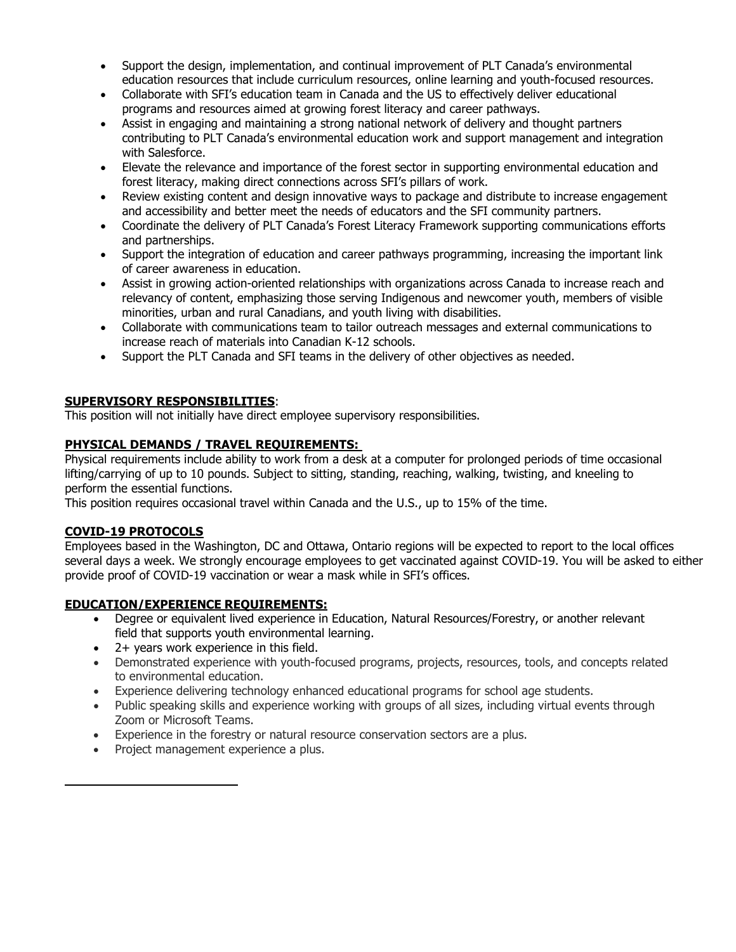- Support the design, implementation, and continual improvement of PLT Canada's environmental education resources that include curriculum resources, online learning and youth-focused resources.
- Collaborate with SFI's education team in Canada and the US to effectively deliver educational programs and resources aimed at growing forest literacy and career pathways.
- Assist in engaging and maintaining a strong national network of delivery and thought partners contributing to PLT Canada's environmental education work and support management and integration with Salesforce.
- Elevate the relevance and importance of the forest sector in supporting environmental education and forest literacy, making direct connections across SFI's pillars of work.
- Review existing content and design innovative ways to package and distribute to increase engagement and accessibility and better meet the needs of educators and the SFI community partners.
- Coordinate the delivery of PLT Canada's Forest Literacy Framework supporting communications efforts and partnerships.
- Support the integration of education and career pathways programming, increasing the important link of career awareness in education.
- Assist in growing action-oriented relationships with organizations across Canada to increase reach and relevancy of content, emphasizing those serving Indigenous and newcomer youth, members of visible minorities, urban and rural Canadians, and youth living with disabilities.
- Collaborate with communications team to tailor outreach messages and external communications to increase reach of materials into Canadian K-12 schools.
- Support the PLT Canada and SFI teams in the delivery of other objectives as needed.

## **SUPERVISORY RESPONSIBILITIES**:

This position will not initially have direct employee supervisory responsibilities.

### **PHYSICAL DEMANDS / TRAVEL REQUIREMENTS:**

Physical requirements include ability to work from a desk at a computer for prolonged periods of time occasional lifting/carrying of up to 10 pounds. Subject to sitting, standing, reaching, walking, twisting, and kneeling to perform the essential functions.

This position requires occasional travel within Canada and the U.S., up to 15% of the time.

### **COVID-19 PROTOCOLS**

Employees based in the Washington, DC and Ottawa, Ontario regions will be expected to report to the local offices several days a week. We strongly encourage employees to get vaccinated against COVID-19. You will be asked to either provide proof of COVID-19 vaccination or wear a mask while in SFI's offices.

### **EDUCATION/EXPERIENCE REQUIREMENTS:**

- Degree or equivalent lived experience in Education, Natural Resources/Forestry, or another relevant field that supports youth environmental learning.
- 2+ years work experience in this field.
- Demonstrated experience with youth-focused programs, projects, resources, tools, and concepts related to environmental education.
- Experience delivering technology enhanced educational programs for school age students.
- Public speaking skills and experience working with groups of all sizes, including virtual events through Zoom or Microsoft Teams.
- Experience in the forestry or natural resource conservation sectors are a plus.
- Project management experience a plus.